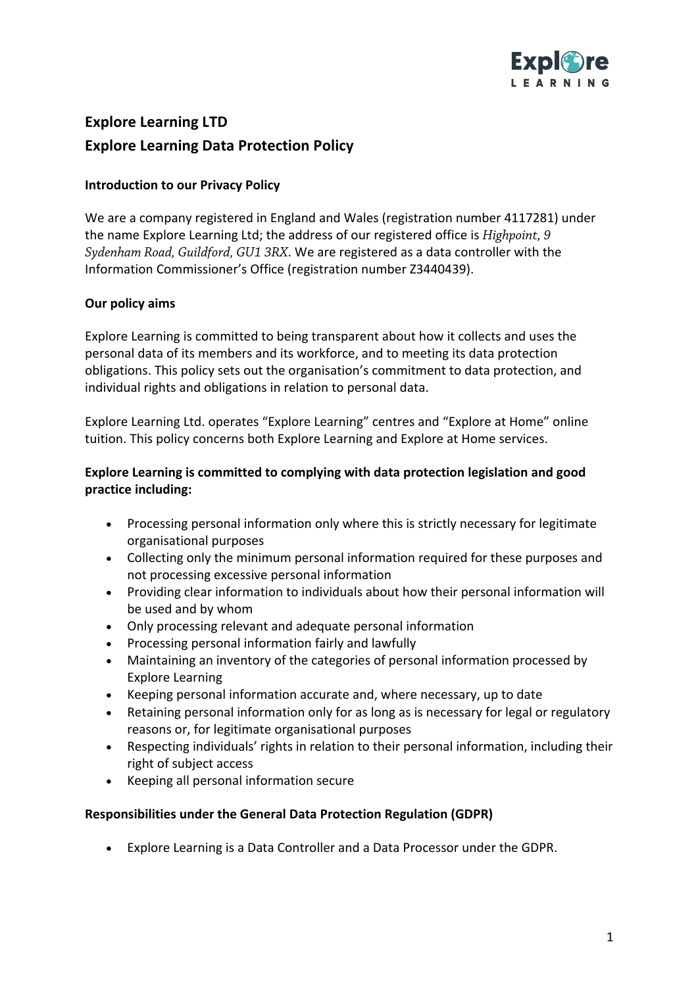

# **Explore Learning LTD Explore Learning Data Protection Policy**

## **Introduction to our Privacy Policy**

We are a company registered in England and Wales (registration number 4117281) under the name Explore Learning Ltd; the address of our registered office is *Highpoint, 9 Sydenham Road, Guildford, GU1 3RX*. We are registered as a data controller with the Information Commissioner's Office (registration number Z3440439).

## **Our policy aims**

Explore Learning is committed to being transparent about how it collects and uses the personal data of its members and its workforce, and to meeting its data protection obligations. This policy sets out the organisation's commitment to data protection, and individual rights and obligations in relation to personal data.

Explore Learning Ltd. operates "Explore Learning" centres and "Explore at Home" online tuition. This policy concerns both Explore Learning and Explore at Home services.

## **Explore Learning is committed to complying with data protection legislation and good practice including:**

- Processing personal information only where this is strictly necessary for legitimate organisational purposes
- Collecting only the minimum personal information required for these purposes and not processing excessive personal information
- Providing clear information to individuals about how their personal information will be used and by whom
- Only processing relevant and adequate personal information
- Processing personal information fairly and lawfully
- Maintaining an inventory of the categories of personal information processed by Explore Learning
- Keeping personal information accurate and, where necessary, up to date
- Retaining personal information only for as long as is necessary for legal or regulatory reasons or, for legitimate organisational purposes
- Respecting individuals' rights in relation to their personal information, including their right of subject access
- Keeping all personal information secure

## **Responsibilities under the General Data Protection Regulation (GDPR)**

• Explore Learning is a Data Controller and a Data Processor under the GDPR.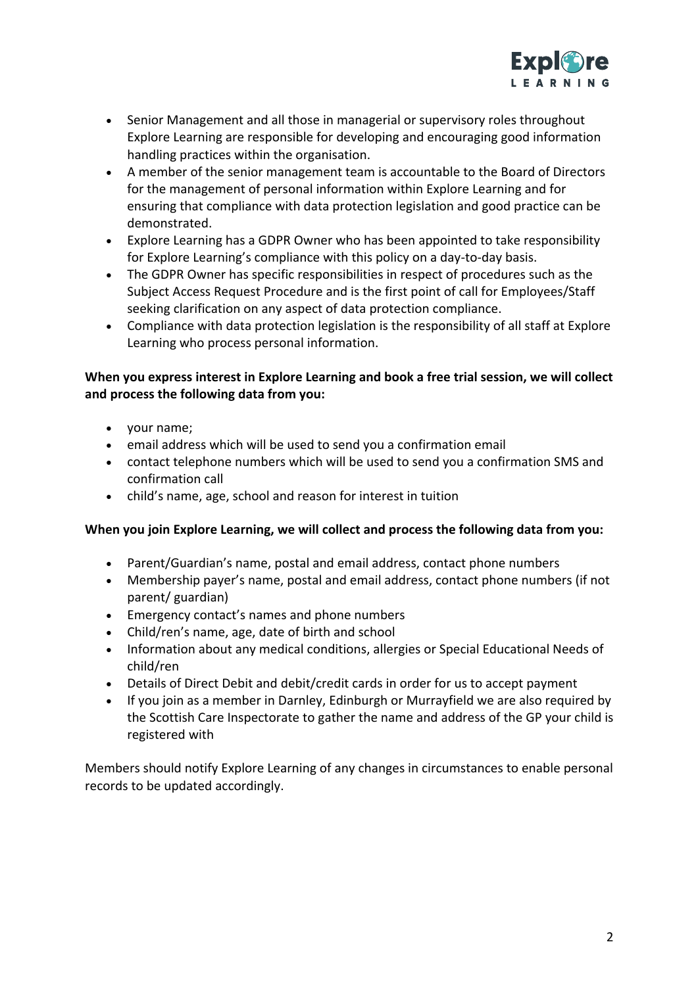

- Senior Management and all those in managerial or supervisory roles throughout Explore Learning are responsible for developing and encouraging good information handling practices within the organisation.
- A member of the senior management team is accountable to the Board of Directors for the management of personal information within Explore Learning and for ensuring that compliance with data protection legislation and good practice can be demonstrated.
- Explore Learning has a GDPR Owner who has been appointed to take responsibility for Explore Learning's compliance with this policy on a day-to-day basis.
- The GDPR Owner has specific responsibilities in respect of procedures such as the Subject Access Request Procedure and is the first point of call for Employees/Staff seeking clarification on any aspect of data protection compliance.
- Compliance with data protection legislation is the responsibility of all staff at Explore Learning who process personal information.

# **When you express interest in Explore Learning and book a free trial session, we will collect and process the following data from you:**

- your name;
- email address which will be used to send you a confirmation email
- contact telephone numbers which will be used to send you a confirmation SMS and confirmation call
- child's name, age, school and reason for interest in tuition

#### **When you join Explore Learning, we will collect and process the following data from you:**

- Parent/Guardian's name, postal and email address, contact phone numbers
- Membership payer's name, postal and email address, contact phone numbers (if not parent/ guardian)
- Emergency contact's names and phone numbers
- Child/ren's name, age, date of birth and school
- Information about any medical conditions, allergies or Special Educational Needs of child/ren
- Details of Direct Debit and debit/credit cards in order for us to accept payment
- If you join as a member in Darnley, Edinburgh or Murrayfield we are also required by the Scottish Care Inspectorate to gather the name and address of the GP your child is registered with

Members should notify Explore Learning of any changes in circumstances to enable personal records to be updated accordingly.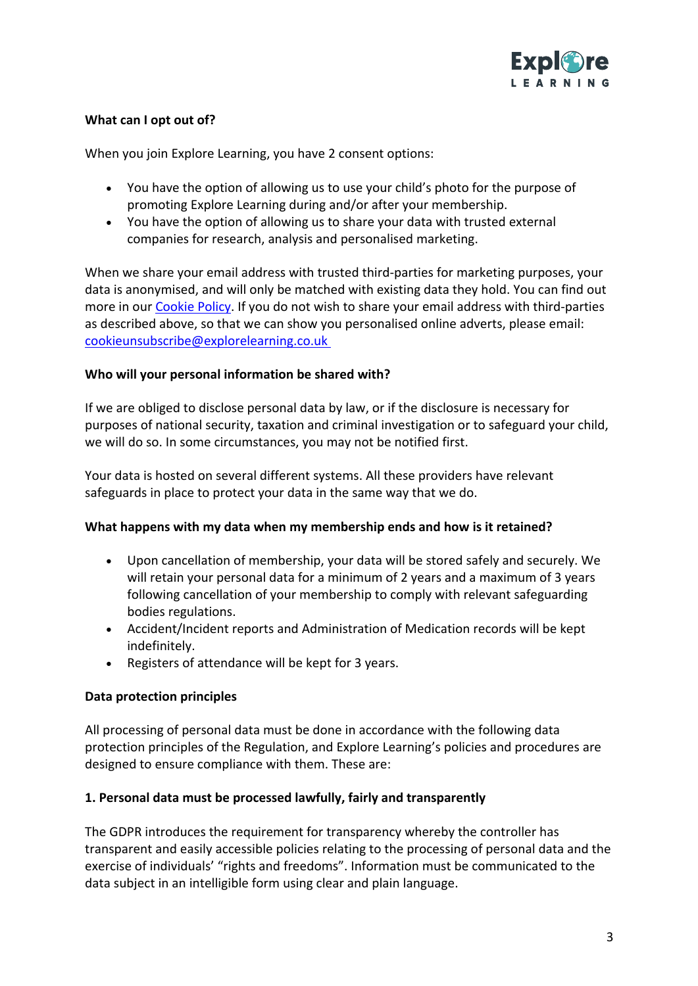

## **What can I opt out of?**

When you join Explore Learning, you have 2 consent options:

- You have the option of allowing us to use your child's photo for the purpose of promoting Explore Learning during and/or after your membership.
- You have the option of allowing us to share your data with trusted external companies for research, analysis and personalised marketing.

When we share your email address with trusted third-parties for marketing purposes, your data is anonymised, and will only be matched with existing data they hold. You can find out more in our Cookie Policy. If you do not wish to share your email address with third-parties as described above, so that we can show you personalised online adverts, please email: cookieunsubscribe@explorelearning.co.uk

#### **Who will your personal information be shared with?**

If we are obliged to disclose personal data by law, or if the disclosure is necessary for purposes of national security, taxation and criminal investigation or to safeguard your child, we will do so. In some circumstances, you may not be notified first.

Your data is hosted on several different systems. All these providers have relevant safeguards in place to protect your data in the same way that we do.

#### **What happens with my data when my membership ends and how is it retained?**

- Upon cancellation of membership, your data will be stored safely and securely. We will retain your personal data for a minimum of 2 years and a maximum of 3 years following cancellation of your membership to comply with relevant safeguarding bodies regulations.
- Accident/Incident reports and Administration of Medication records will be kept indefinitely.
- Registers of attendance will be kept for 3 years.

#### **Data protection principles**

All processing of personal data must be done in accordance with the following data protection principles of the Regulation, and Explore Learning's policies and procedures are designed to ensure compliance with them. These are:

#### **1. Personal data must be processed lawfully, fairly and transparently**

The GDPR introduces the requirement for transparency whereby the controller has transparent and easily accessible policies relating to the processing of personal data and the exercise of individuals' "rights and freedoms". Information must be communicated to the data subject in an intelligible form using clear and plain language.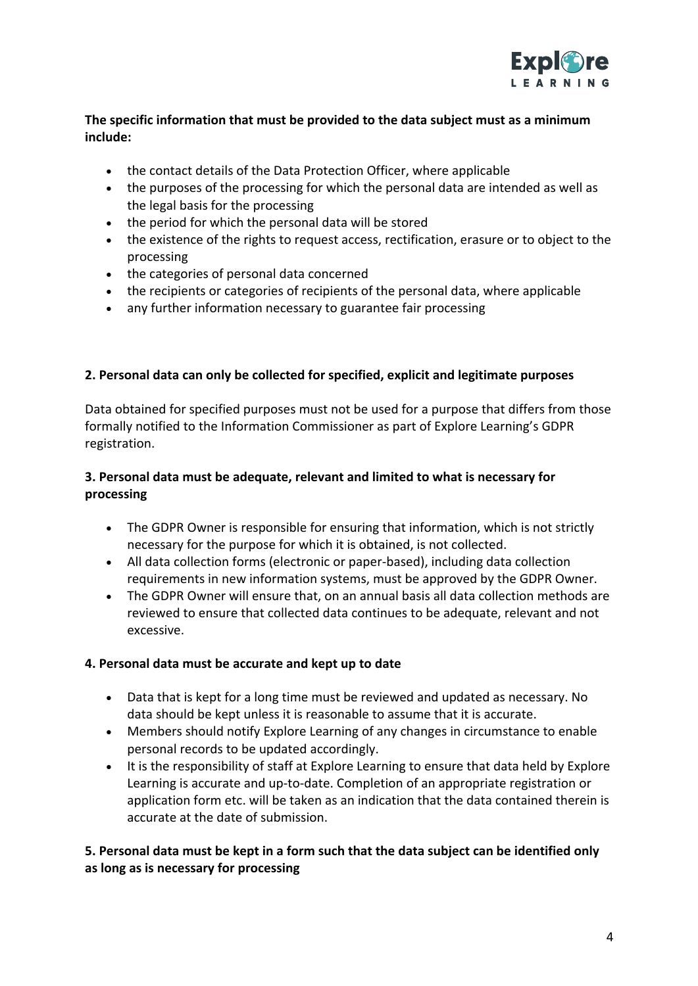

# **The specific information that must be provided to the data subject must as a minimum include:**

- the contact details of the Data Protection Officer, where applicable
- the purposes of the processing for which the personal data are intended as well as the legal basis for the processing
- the period for which the personal data will be stored
- the existence of the rights to request access, rectification, erasure or to object to the processing
- the categories of personal data concerned
- the recipients or categories of recipients of the personal data, where applicable
- any further information necessary to guarantee fair processing

## **2. Personal data can only be collected for specified, explicit and legitimate purposes**

Data obtained for specified purposes must not be used for a purpose that differs from those formally notified to the Information Commissioner as part of Explore Learning's GDPR registration.

# **3. Personal data must be adequate, relevant and limited to what is necessary for processing**

- The GDPR Owner is responsible for ensuring that information, which is not strictly necessary for the purpose for which it is obtained, is not collected.
- All data collection forms (electronic or paper-based), including data collection requirements in new information systems, must be approved by the GDPR Owner.
- The GDPR Owner will ensure that, on an annual basis all data collection methods are reviewed to ensure that collected data continues to be adequate, relevant and not excessive.

## **4. Personal data must be accurate and kept up to date**

- Data that is kept for a long time must be reviewed and updated as necessary. No data should be kept unless it is reasonable to assume that it is accurate.
- Members should notify Explore Learning of any changes in circumstance to enable personal records to be updated accordingly.
- It is the responsibility of staff at Explore Learning to ensure that data held by Explore Learning is accurate and up-to-date. Completion of an appropriate registration or application form etc. will be taken as an indication that the data contained therein is accurate at the date of submission.

## **5. Personal data must be kept in a form such that the data subject can be identified only as long as is necessary for processing**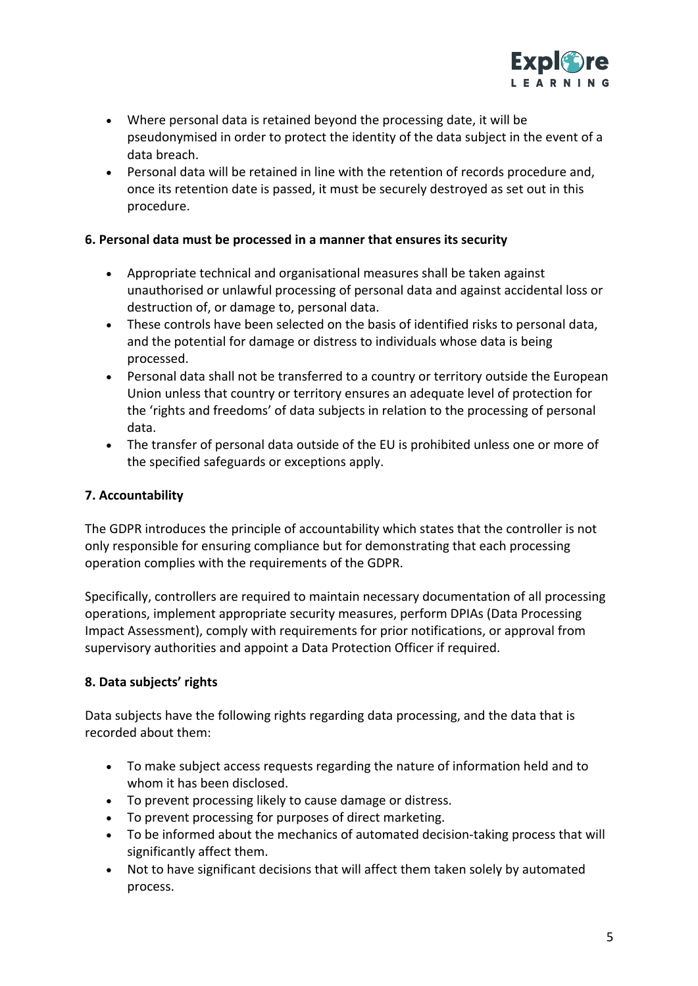

- Where personal data is retained beyond the processing date, it will be pseudonymised in order to protect the identity of the data subject in the event of a data breach.
- Personal data will be retained in line with the retention of records procedure and, once its retention date is passed, it must be securely destroyed as set out in this procedure.

#### **6. Personal data must be processed in a manner that ensures its security**

- Appropriate technical and organisational measures shall be taken against unauthorised or unlawful processing of personal data and against accidental loss or destruction of, or damage to, personal data.
- These controls have been selected on the basis of identified risks to personal data, and the potential for damage or distress to individuals whose data is being processed.
- Personal data shall not be transferred to a country or territory outside the European Union unless that country or territory ensures an adequate level of protection for the 'rights and freedoms' of data subjects in relation to the processing of personal data.
- The transfer of personal data outside of the EU is prohibited unless one or more of the specified safeguards or exceptions apply.

#### **7. Accountability**

The GDPR introduces the principle of accountability which states that the controller is not only responsible for ensuring compliance but for demonstrating that each processing operation complies with the requirements of the GDPR.

Specifically, controllers are required to maintain necessary documentation of all processing operations, implement appropriate security measures, perform DPIAs (Data Processing Impact Assessment), comply with requirements for prior notifications, or approval from supervisory authorities and appoint a Data Protection Officer if required.

#### **8. Data subjects' rights**

Data subjects have the following rights regarding data processing, and the data that is recorded about them:

- To make subject access requests regarding the nature of information held and to whom it has been disclosed.
- To prevent processing likely to cause damage or distress.
- To prevent processing for purposes of direct marketing.
- To be informed about the mechanics of automated decision-taking process that will significantly affect them.
- Not to have significant decisions that will affect them taken solely by automated process.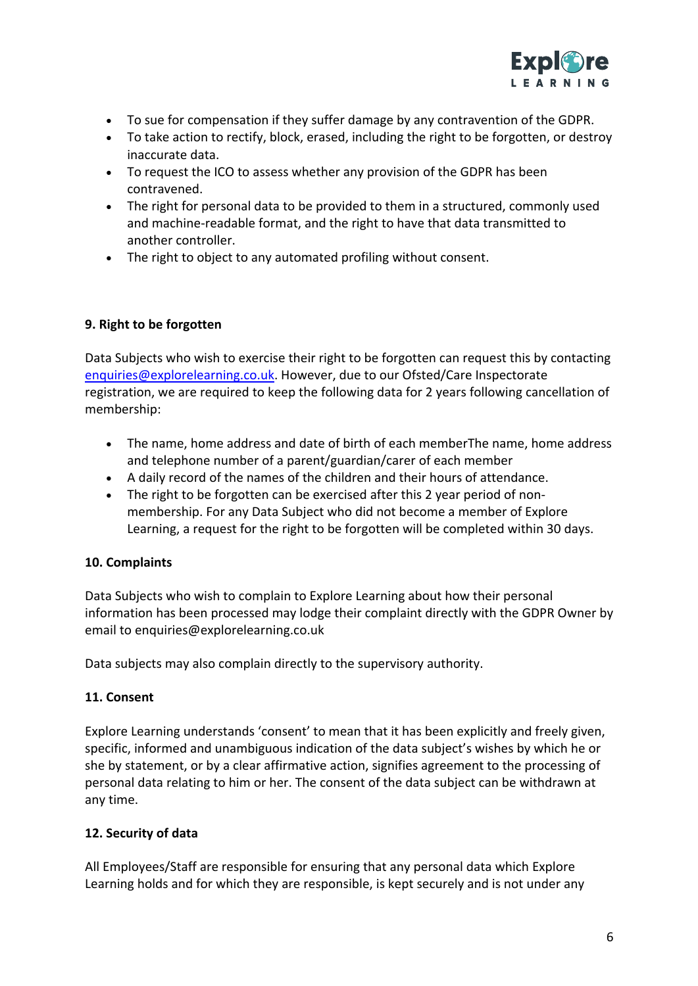

- To sue for compensation if they suffer damage by any contravention of the GDPR.
- To take action to rectify, block, erased, including the right to be forgotten, or destroy inaccurate data.
- To request the ICO to assess whether any provision of the GDPR has been contravened.
- The right for personal data to be provided to them in a structured, commonly used and machine-readable format, and the right to have that data transmitted to another controller.
- The right to object to any automated profiling without consent.

## **9. Right to be forgotten**

Data Subjects who wish to exercise their right to be forgotten can request this by contacting enquiries@explorelearning.co.uk. However, due to our Ofsted/Care Inspectorate registration, we are required to keep the following data for 2 years following cancellation of membership:

- The name, home address and date of birth of each memberThe name, home address and telephone number of a parent/guardian/carer of each member
- A daily record of the names of the children and their hours of attendance.
- The right to be forgotten can be exercised after this 2 year period of nonmembership. For any Data Subject who did not become a member of Explore Learning, a request for the right to be forgotten will be completed within 30 days.

## **10. Complaints**

Data Subjects who wish to complain to Explore Learning about how their personal information has been processed may lodge their complaint directly with the GDPR Owner by email to enquiries@explorelearning.co.uk

Data subjects may also complain directly to the supervisory authority.

## **11. Consent**

Explore Learning understands 'consent' to mean that it has been explicitly and freely given, specific, informed and unambiguous indication of the data subject's wishes by which he or she by statement, or by a clear affirmative action, signifies agreement to the processing of personal data relating to him or her. The consent of the data subject can be withdrawn at any time.

## **12. Security of data**

All Employees/Staff are responsible for ensuring that any personal data which Explore Learning holds and for which they are responsible, is kept securely and is not under any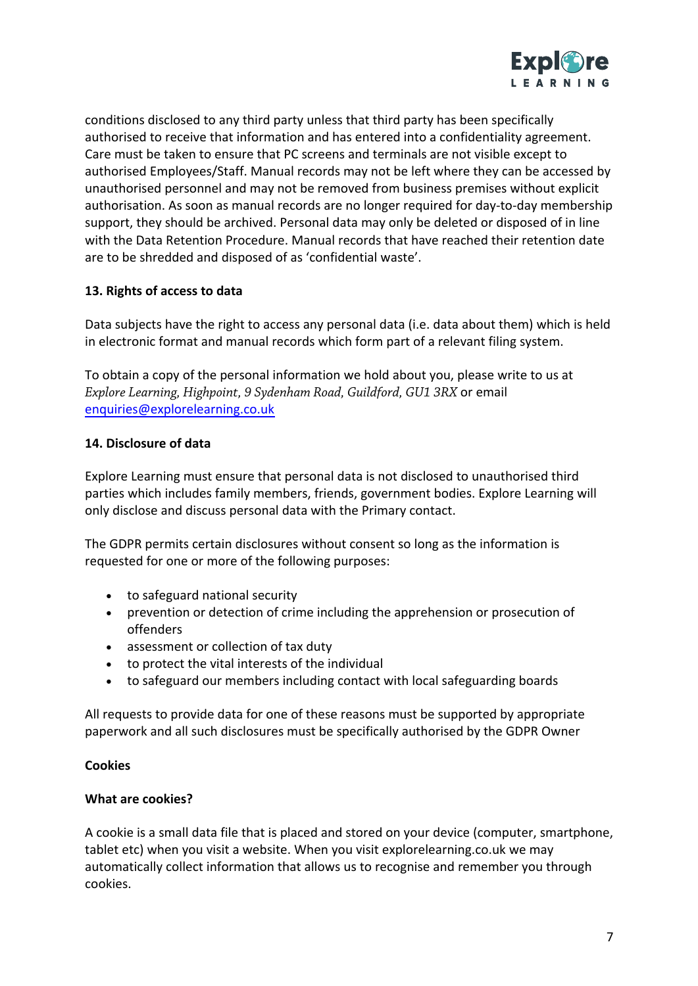

conditions disclosed to any third party unless that third party has been specifically authorised to receive that information and has entered into a confidentiality agreement. Care must be taken to ensure that PC screens and terminals are not visible except to authorised Employees/Staff. Manual records may not be left where they can be accessed by unauthorised personnel and may not be removed from business premises without explicit authorisation. As soon as manual records are no longer required for day-to-day membership support, they should be archived. Personal data may only be deleted or disposed of in line with the Data Retention Procedure. Manual records that have reached their retention date are to be shredded and disposed of as 'confidential waste'.

## **13. Rights of access to data**

Data subjects have the right to access any personal data (i.e. data about them) which is held in electronic format and manual records which form part of a relevant filing system.

To obtain a copy of the personal information we hold about you, please write to us at *Explore Learning, Highpoint, 9 Sydenham Road, Guildford, GU1 3RX* or email enquiries@explorelearning.co.uk

## **14. Disclosure of data**

Explore Learning must ensure that personal data is not disclosed to unauthorised third parties which includes family members, friends, government bodies. Explore Learning will only disclose and discuss personal data with the Primary contact.

The GDPR permits certain disclosures without consent so long as the information is requested for one or more of the following purposes:

- to safeguard national security
- prevention or detection of crime including the apprehension or prosecution of offenders
- assessment or collection of tax duty
- to protect the vital interests of the individual
- to safeguard our members including contact with local safeguarding boards

All requests to provide data for one of these reasons must be supported by appropriate paperwork and all such disclosures must be specifically authorised by the GDPR Owner

#### **Cookies**

#### **What are cookies?**

A cookie is a small data file that is placed and stored on your device (computer, smartphone, tablet etc) when you visit a website. When you visit explorelearning.co.uk we may automatically collect information that allows us to recognise and remember you through cookies.